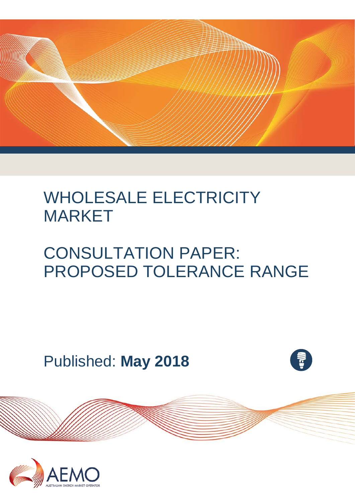

# WHOLESALE ELECTRICITY MARKET

# CONSULTATION PAPER: PROPOSED TOLERANCE RANGE

Published: **May 2018**



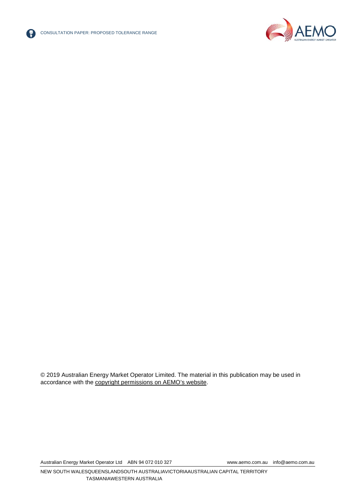



<span id="page-1-0"></span>© 2019 Australian Energy Market Operator Limited. The material in this publication may be used in accordance with the [copyright permissions on AEMO's website.](http://aemo.com.au/Privacy_and_Legal_Notices/Copyright_Permissions_Notice)

Australian Energy Market Operator Ltd ABN 94 072 010 327 [www.aemo.com.au](http://www.aemo.com.au/) [info@aemo.com.au](mailto:info@aemo.com.au)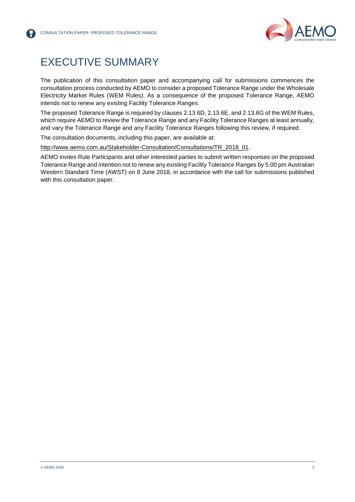

# EXECUTIVE SUMMARY

The publication of this consultation paper and accompanying call for submissions commences the consultation process conducted by AEMO to consider a proposed Tolerance Range under the Wholesale Electricity Market Rules (WEM Rules). As a consequence of the proposed Tolerance Range, AEMO intends not to renew any existing Facility Tolerance Ranges.

The proposed Tolerance Range is required by clauses 2.13.6D, 2.13.6E, and 2.13.6G of the WEM Rules, which require AEMO to review the Tolerance Range and any Facility Tolerance Ranges at least annually, and vary the Tolerance Range and any Facility Tolerance Ranges following this review, if required.

The consultation documents, including this paper, are available at:

[http://www.aemo.com.au/Stakeholder-Consultation/Consultations/TR\\_2018\\_01.](http://www.aemo.com.au/Stakeholder-Consultation/Consultations/TR_2018_01)

AEMO invites Rule Participants and other interested parties to submit written responses on the proposed Tolerance Range and intention not to renew any existing Facility Tolerance Ranges by 5.00 pm Australian Western Standard Time (AWST) on 8 June 2018, in accordance with the call for submissions published with this consultation paper.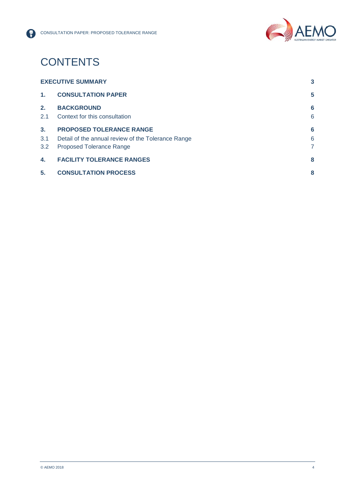

# **CONTENTS**

| <b>EXECUTIVE SUMMARY</b> |                                                    | 3 |
|--------------------------|----------------------------------------------------|---|
| $\mathbf{1}$ .           | <b>CONSULTATION PAPER</b>                          | 5 |
| 2.                       | <b>BACKGROUND</b>                                  | 6 |
| 2.1                      | Context for this consultation                      | 6 |
| 3.                       | <b>PROPOSED TOLERANCE RANGE</b>                    | 6 |
| 3.1                      | Detail of the annual review of the Tolerance Range | 6 |
| 3.2                      | <b>Proposed Tolerance Range</b>                    | 7 |
| 4.                       | <b>FACILITY TOLERANCE RANGES</b>                   | 8 |
| 5.                       | <b>CONSULTATION PROCESS</b>                        | 8 |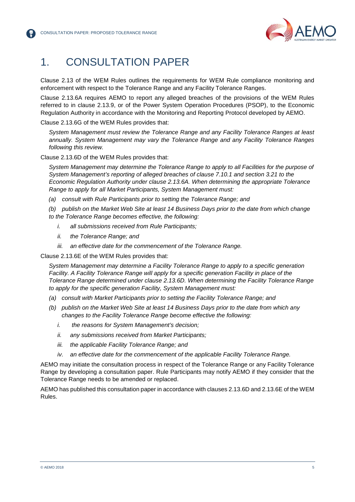

# <span id="page-4-0"></span>1. CONSULTATION PAPER

Clause 2.13 of the WEM Rules outlines the requirements for WEM Rule compliance monitoring and enforcement with respect to the Tolerance Range and any Facility Tolerance Ranges.

Clause 2.13.6A requires AEMO to report any alleged breaches of the provisions of the WEM Rules referred to in clause 2.13.9, or of the Power System Operation Procedures (PSOP), to the Economic Regulation Authority in accordance with the Monitoring and Reporting Protocol developed by AEMO.

Clause 2.13.6G of the WEM Rules provides that:

*System Management must review the Tolerance Range and any Facility Tolerance Ranges at least annually. System Management may vary the Tolerance Range and any Facility Tolerance Ranges following this review.*

Clause 2.13.6D of the WEM Rules provides that:

*System Management may determine the Tolerance Range to apply to all Facilities for the purpose of System Management's reporting of alleged breaches of clause 7.10.1 and section 3.21 to the Economic Regulation Authority under clause 2.13.6A. When determining the appropriate Tolerance Range to apply for all Market Participants, System Management must:*

*(a) consult with Rule Participants prior to setting the Tolerance Range; and*

*(b) publish on the Market Web Site at least 14 Business Days prior to the date from which change to the Tolerance Range becomes effective, the following:*

- *i. all submissions received from Rule Participants;*
- *ii. the Tolerance Range; and*
- *iii. an effective date for the commencement of the Tolerance Range.*

Clause 2.13.6E of the WEM Rules provides that:

*System Management may determine a Facility Tolerance Range to apply to a specific generation Facility. A Facility Tolerance Range will apply for a specific generation Facility in place of the Tolerance Range determined under clause 2.13.6D. When determining the Facility Tolerance Range to apply for the specific generation Facility, System Management must:* 

- *(a) consult with Market Participants prior to setting the Facility Tolerance Range; and*
- *(b) publish on the Market Web Site at least 14 Business Days prior to the date from which any changes to the Facility Tolerance Range become effective the following:* 
	- *i. the reasons for System Management's decision;*
	- *ii. any submissions received from Market Participants;*
	- *iii. the applicable Facility Tolerance Range; and*
	- *iv. an effective date for the commencement of the applicable Facility Tolerance Range.*

AEMO may initiate the consultation process in respect of the Tolerance Range or any Facility Tolerance Range by developing a consultation paper. Rule Participants may notify AEMO if they consider that the Tolerance Range needs to be amended or replaced.

AEMO has published this consultation paper in accordance with clauses 2.13.6D and 2.13.6E of the WEM Rules.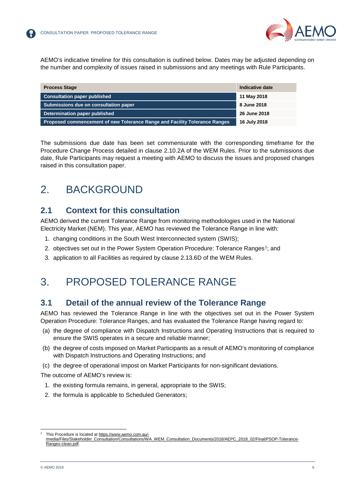

AEMO's indicative timeline for this consultation is outlined below. Dates may be adjusted depending on the number and complexity of issues raised in submissions and any meetings with Rule Participants.

| <b>Process Stage</b>                                                       | Indicative date |
|----------------------------------------------------------------------------|-----------------|
| <b>Consultation paper published</b>                                        | 11 May 2018     |
| Submissions due on consultation paper                                      | 8 June 2018     |
| Determination paper published                                              | 26 June 2018    |
| Proposed commencement of new Tolerance Range and Facility Tolerance Ranges | 16 July 2018    |

The submissions due date has been set commensurate with the corresponding timeframe for the Procedure Change Process detailed in clause 2.10.2A of the WEM Rules. Prior to the submissions due date, Rule Participants may request a meeting with AEMO to discuss the issues and proposed changes raised in this consultation paper.

## <span id="page-5-0"></span>2. BACKGROUND

### <span id="page-5-1"></span>**2.1 Context for this consultation**

AEMO derived the current Tolerance Range from monitoring methodologies used in the National Electricity Market (NEM). This year, AEMO has reviewed the Tolerance Range in line with:

- 1. changing conditions in the South West Interconnected system (SWIS);
- 2. objectives set out in the Power System Operation Procedure: Tolerance Ranges<sup>[1](#page-5-4)</sup>; and
- <span id="page-5-2"></span>3. application to all Facilities as required by clause 2.13.6D of the WEM Rules.

## 3. PROPOSED TOLERANCE RANGE

### <span id="page-5-3"></span>**3.1 Detail of the annual review of the Tolerance Range**

AEMO has reviewed the Tolerance Range in line with the objectives set out in the Power System Operation Procedure: Tolerance Ranges, and has evaluated the Tolerance Range having regard to:

- (a) the degree of compliance with Dispatch Instructions and Operating Instructions that is required to ensure the SWIS operates in a secure and reliable manner;
- (b) the degree of costs imposed on Market Participants as a result of AEMO's monitoring of compliance with Dispatch Instructions and Operating Instructions; and
- (c) the degree of operational impost on Market Participants for non-significant deviations.
- The outcome of AEMO's review is:
	- 1. the existing formula remains, in general, appropriate to the SWIS;
	- 2. the formula is applicable to Scheduled Generators;

<span id="page-5-4"></span>This Procedure is located at [https://www.aemo.com.au/-](https://www.aemo.com.au/-/media/Files/Stakeholder_Consultation/Consultations/WA_WEM_Consultation_Documents/2018/AEPC_2018_02/Final/PSOP-Tolerance-Ranges-clean.pdf) [/media/Files/Stakeholder\\_Consultation/Consultations/WA\\_WEM\\_Consultation\\_Documents/2018/AEPC\\_2018\\_02/Final/PSOP-Tolerance-](https://www.aemo.com.au/-/media/Files/Stakeholder_Consultation/Consultations/WA_WEM_Consultation_Documents/2018/AEPC_2018_02/Final/PSOP-Tolerance-Ranges-clean.pdf)[Ranges-clean.pdf.](https://www.aemo.com.au/-/media/Files/Stakeholder_Consultation/Consultations/WA_WEM_Consultation_Documents/2018/AEPC_2018_02/Final/PSOP-Tolerance-Ranges-clean.pdf)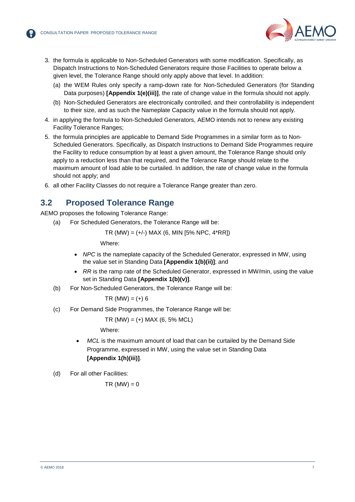

- 3. the formula is applicable to Non-Scheduled Generators with some modification. Specifically, as Dispatch Instructions to Non-Scheduled Generators require those Facilities to operate below a given level, the Tolerance Range should only apply above that level. In addition:
	- (a) the WEM Rules only specify a ramp-down rate for Non-Scheduled Generators (for Standing Data purposes) **[Appendix 1(e)(iii)]**, the rate of change value in the formula should not apply.
	- (b) Non-Scheduled Generators are electronically controlled, and their controllability is independent to their size, and as such the Nameplate Capacity value in the formula should not apply.
- 4. in applying the formula to Non-Scheduled Generators, AEMO intends not to renew any existing Facility Tolerance Ranges;
- 5. the formula principles are applicable to Demand Side Programmes in a similar form as to Non-Scheduled Generators. Specifically, as Dispatch Instructions to Demand Side Programmes require the Facility to reduce consumption by at least a given amount, the Tolerance Range should only apply to a reduction less than that required, and the Tolerance Range should relate to the maximum amount of load able to be curtailed. In addition, the rate of change value in the formula should not apply; and
- 6. all other Facility Classes do not require a Tolerance Range greater than zero.

### <span id="page-6-0"></span>**3.2 Proposed Tolerance Range**

AEMO proposes the following Tolerance Range:

(a) For Scheduled Generators, the Tolerance Range will be:

TR (MW) = (+/-) MAX (6, MIN [5% NPC, 4\*RR])

Where:

- *NPC* is the nameplate capacity of the Scheduled Generator, expressed in MW, using the value set in Standing Data **[Appendix 1(b)(ii)]**; and
- *RR* is the ramp rate of the Scheduled Generator, expressed in MW/min, using the value set in Standing Data **[Appendix 1(b)(v)]**.
- <span id="page-6-1"></span>(b) For Non-Scheduled Generators, the Tolerance Range will be:

 $TR (MW) = (+) 6$ 

(c) For Demand Side Programmes, the Tolerance Range will be:

 $TR$  (MW) = (+) MAX (6, 5% MCL)

Where:

• *MCL* is the maximum amount of load that can be curtailed by the Demand Side Programme, expressed in MW, using the value set in Standing Data **[Appendix 1(h)(iii)]**.

(d) For all other Facilities:

$$
TR (MW) = 0
$$